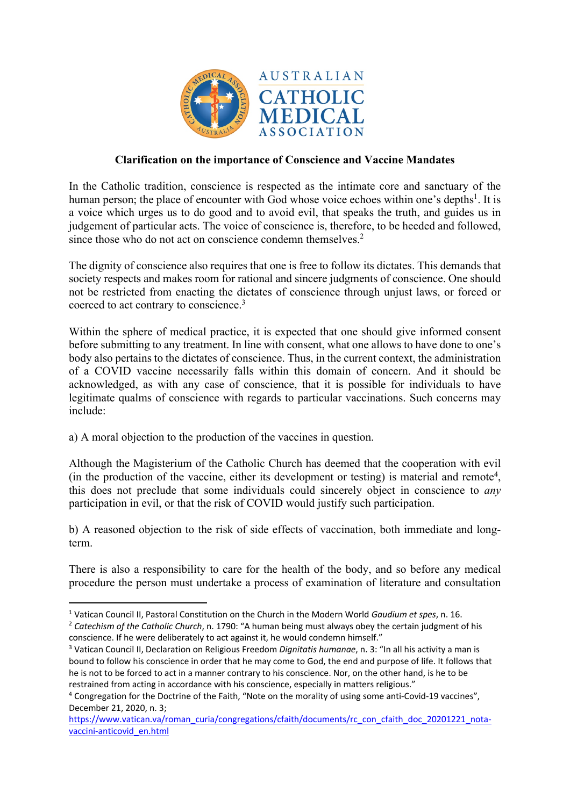

## **Clarification on the importance of Conscience and Vaccine Mandates**

In the Catholic tradition, conscience is respected as the intimate core and sanctuary of the human person; the place of encounter with God whose voice echoes within one's depths<sup>1</sup>. It is a voice which urges us to do good and to avoid evil, that speaks the truth, and guides us in judgement of particular acts. The voice of conscience is, therefore, to be heeded and followed, since those who do not act on conscience condemn themselves.<sup>2</sup>

The dignity of conscience also requires that one is free to follow its dictates. This demands that society respects and makes room for rational and sincere judgments of conscience. One should not be restricted from enacting the dictates of conscience through unjust laws, or forced or coerced to act contrary to conscience.3

Within the sphere of medical practice, it is expected that one should give informed consent before submitting to any treatment. In line with consent, what one allows to have done to one's body also pertains to the dictates of conscience. Thus, in the current context, the administration of a COVID vaccine necessarily falls within this domain of concern. And it should be acknowledged, as with any case of conscience, that it is possible for individuals to have legitimate qualms of conscience with regards to particular vaccinations. Such concerns may include:

a) A moral objection to the production of the vaccines in question.

Although the Magisterium of the Catholic Church has deemed that the cooperation with evil (in the production of the vaccine, either its development or testing) is material and remote<sup>4</sup>, this does not preclude that some individuals could sincerely object in conscience to *any* participation in evil, or that the risk of COVID would justify such participation.

b) A reasoned objection to the risk of side effects of vaccination, both immediate and longterm.

There is also a responsibility to care for the health of the body, and so before any medical procedure the person must undertake a process of examination of literature and consultation

<sup>1</sup> Vatican Council II, Pastoral Constitution on the Church in the Modern World *Gaudium et spes*, n. 16.

<sup>&</sup>lt;sup>2</sup> Catechism of the Catholic Church, n. 1790: "A human being must always obey the certain judgment of his conscience. If he were deliberately to act against it, he would condemn himself."

<sup>3</sup> Vatican Council II, Declaration on Religious Freedom *Dignitatis humanae*, n. 3: "In all his activity a man is bound to follow his conscience in order that he may come to God, the end and purpose of life. It follows that he is not to be forced to act in a manner contrary to his conscience. Nor, on the other hand, is he to be restrained from acting in accordance with his conscience, especially in matters religious."

<sup>4</sup> Congregation for the Doctrine of the Faith, "Note on the morality of using some anti-Covid-19 vaccines", December 21, 2020, n. 3;

https://www.vatican.va/roman\_curia/congregations/cfaith/documents/rc\_con\_cfaith\_doc\_20201221\_notavaccini-anticovid\_en.html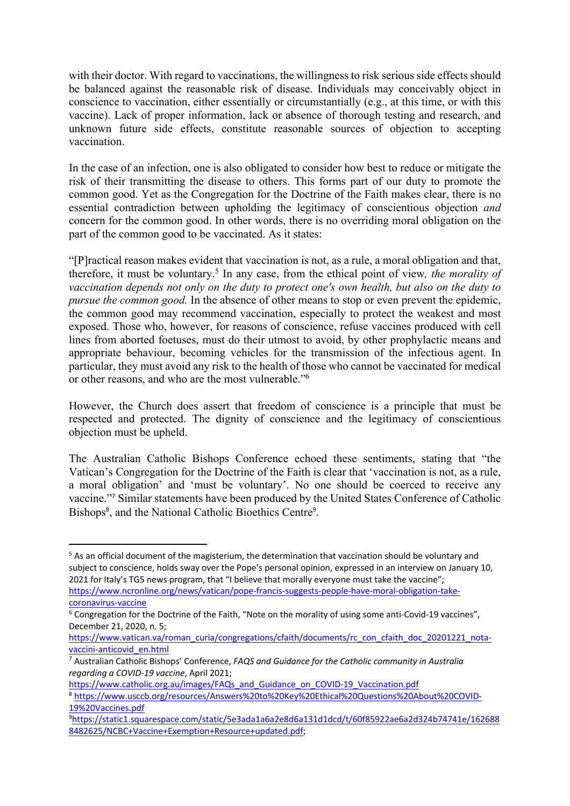with their doctor. With regard to vaccinations, the willingness to risk serious side effects should be balanced against the reasonable risk of disease. Individuals may conceivably object in conscience to vaccination, either essentially or circumstantially (e.g., at this time, or with this vaccine). Lack of proper information, lack or absence of thorough testing and research, and unknown future side effects, constitute reasonable sources of objection to accepting vaccination.

In the case of an infection, one is also obligated to consider how best to reduce or mitigate the risk of their transmitting the disease to others. This forms part of our duty to promote the common good. Yet as the Congregation for the Doctrine of the Faith makes clear, there is no essential contradiction between upholding the legitimacy of conscientious objection *and*  concern for the common good. In other words, there is no overriding moral obligation on the part of the common good to be vaccinated. As it states:

"[P]ractical reason makes evident that vaccination is not, as a rule, a moral obligation and that, therefore, it must be voluntary.5 In any case, from the ethical point of view*, the morality of vaccination depends not only on the duty to protect one's own health, but also on the duty to pursue the common good.* In the absence of other means to stop or even prevent the epidemic, the common good may recommend vaccination, especially to protect the weakest and most exposed. Those who, however, for reasons of conscience, refuse vaccines produced with cell lines from aborted foetuses, must do their utmost to avoid, by other prophylactic means and appropriate behaviour, becoming vehicles for the transmission of the infectious agent. In particular, they must avoid any risk to the health of those who cannot be vaccinated for medical or other reasons, and who are the most vulnerable."6

However, the Church does assert that freedom of conscience is a principle that must be respected and protected. The dignity of conscience and the legitimacy of conscientious objection must be upheld.

The Australian Catholic Bishops Conference echoed these sentiments, stating that "the Vatican's Congregation for the Doctrine of the Faith is clear that 'vaccination is not, as a rule, a moral obligation' and 'must be voluntary'. No one should be coerced to receive any vaccine."<sup>7</sup> Similar statements have been produced by the United States Conference of Catholic Bishops<sup>8</sup>, and the National Catholic Bioethics Centre<sup>9</sup>.

https://www.catholic.org.au/images/FAQs\_and\_Guidance\_on\_COVID-19\_Vaccination.pdf

<sup>&</sup>lt;sup>5</sup> As an official document of the magisterium, the determination that vaccination should be voluntary and subject to conscience, holds sway over the Pope's personal opinion, expressed in an interview on January 10, 2021 for Italy's TG5 news program, that "I believe that morally everyone must take the vaccine"; https://www.ncronline.org/news/vatican/pope-francis-suggests-people-have-moral-obligation-takecoronavirus-vaccine

<sup>&</sup>lt;sup>6</sup> Congregation for the Doctrine of the Faith, "Note on the morality of using some anti-Covid-19 vaccines", December 21, 2020, n. 5;

https://www.vatican.va/roman\_curia/congregations/cfaith/documents/rc\_con\_cfaith\_doc\_20201221\_notavaccini-anticovid\_en.html

<sup>7</sup> Australian Catholic Bishops' Conference, *FAQS and Guidance for the Catholic community in Australia regarding a COVID-19 vaccine*, April 2021;

<sup>8</sup> https://www.usccb.org/resources/Answers%20to%20Key%20Ethical%20Questions%20About%20COVID-19%20Vaccines.pdf

<sup>9</sup> https://static1.squarespace.com/static/5e3ada1a6a2e8d6a131d1dcd/t/60f85922ae6a2d324b74741e/162688 8482625/NCBC+Vaccine+Exemption+Resource+updated.pdf;